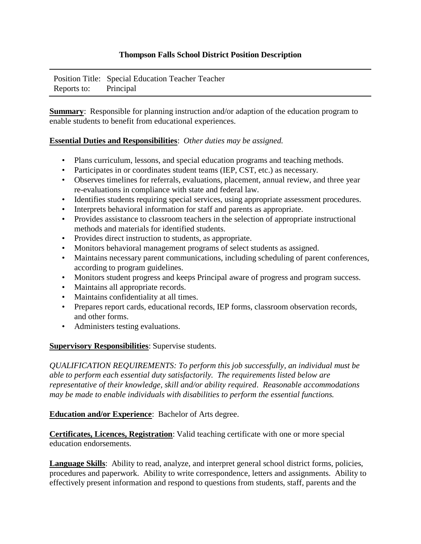## **Thompson Falls School District Position Description**

Position Title: Special Education Teacher Teacher Reports to: Principal

**Summary:** Responsible for planning instruction and/or adaption of the education program to enable students to benefit from educational experiences.

## **Essential Duties and Responsibilities**: *Other duties may be assigned.*

- Plans curriculum, lessons, and special education programs and teaching methods.
- Participates in or coordinates student teams (IEP, CST, etc.) as necessary.
- Observes timelines for referrals, evaluations, placement, annual review, and three year re-evaluations in compliance with state and federal law.
- Identifies students requiring special services, using appropriate assessment procedures.
- Interprets behavioral information for staff and parents as appropriate.
- Provides assistance to classroom teachers in the selection of appropriate instructional methods and materials for identified students.
- Provides direct instruction to students, as appropriate.
- Monitors behavioral management programs of select students as assigned.
- Maintains necessary parent communications, including scheduling of parent conferences, according to program guidelines.
- Monitors student progress and keeps Principal aware of progress and program success.
- Maintains all appropriate records.
- Maintains confidentiality at all times.
- Prepares report cards, educational records, IEP forms, classroom observation records, and other forms.
- Administers testing evaluations.

**Supervisory Responsibilities**: Supervise students.

*QUALIFICATION REQUIREMENTS: To perform this job successfully, an individual must be able to perform each essential duty satisfactorily. The requirements listed below are representative of their knowledge, skill and/or ability required. Reasonable accommodations may be made to enable individuals with disabilities to perform the essential functions.* 

**Education and/or Experience**: Bachelor of Arts degree.

**Certificates, Licences, Registration**: Valid teaching certificate with one or more special education endorsements.

**Language Skills**: Ability to read, analyze, and interpret general school district forms, policies, procedures and paperwork. Ability to write correspondence, letters and assignments. Ability to effectively present information and respond to questions from students, staff, parents and the